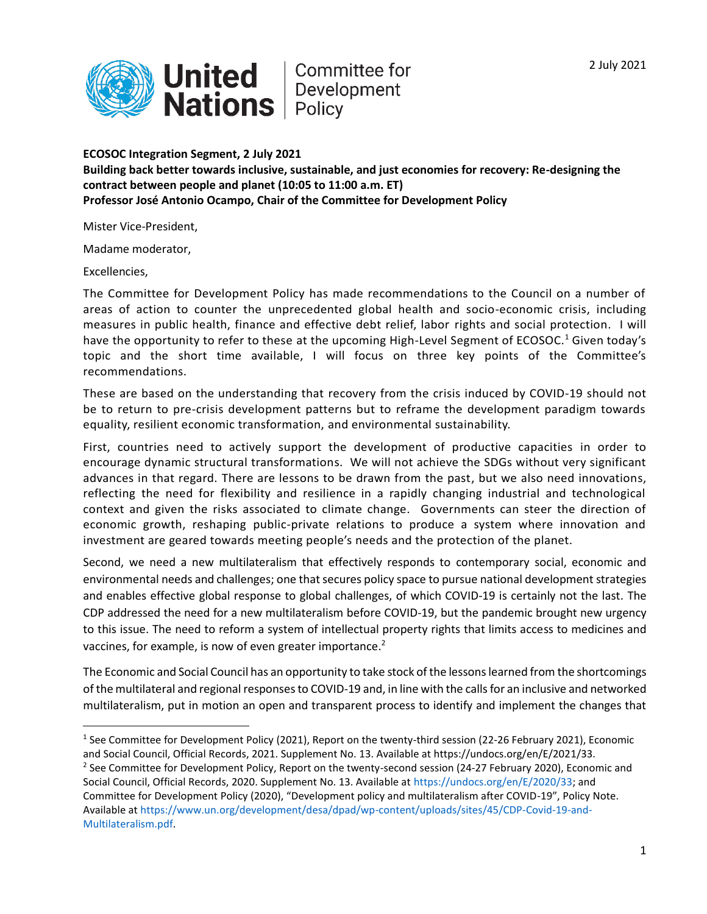

**United Committee formant**<br> **Nations** Policy Committee for

**ECOSOC Integration Segment, 2 July 2021 Building back better towards inclusive, sustainable, and just economies for recovery: Re-designing the contract between people and planet (10:05 to 11:00 a.m. ET) Professor José Antonio Ocampo, Chair of the Committee for Development Policy**

Mister Vice-President,

Madame moderator,

Excellencies,

The Committee for Development Policy has made recommendations to the Council on a number of areas of action to counter the unprecedented global health and socio-economic crisis, including measures in public health, finance and effective debt relief, labor rights and social protection. I will have the opportunity to refer to these at the upcoming High-Level Segment of ECOSOC.<sup>1</sup> Given today's topic and the short time available, I will focus on three key points of the Committee's recommendations.

These are based on the understanding that recovery from the crisis induced by COVID-19 should not be to return to pre-crisis development patterns but to reframe the development paradigm towards equality, resilient economic transformation, and environmental sustainability.

First, countries need to actively support the development of productive capacities in order to encourage dynamic structural transformations. We will not achieve the SDGs without very significant advances in that regard. There are lessons to be drawn from the past, but we also need innovations, reflecting the need for flexibility and resilience in a rapidly changing industrial and technological context and given the risks associated to climate change. Governments can steer the direction of economic growth, reshaping public-private relations to produce a system where innovation and investment are geared towards meeting people's needs and the protection of the planet.

Second, we need a new multilateralism that effectively responds to contemporary social, economic and environmental needs and challenges; one that secures policy space to pursue national development strategies and enables effective global response to global challenges, of which COVID-19 is certainly not the last. The CDP addressed the need for a new multilateralism before COVID-19, but the pandemic brought new urgency to this issue. The need to reform a system of intellectual property rights that limits access to medicines and vaccines, for example, is now of even greater importance.<sup>2</sup>

The Economic and Social Council has an opportunity to take stock of the lessons learned from the shortcomings of the multilateral and regional responses to COVID-19 and, in line with the calls for an inclusive and networked multilateralism, put in motion an open and transparent process to identify and implement the changes that

[Multilateralism.pdf.](https://www.un.org/development/desa/dpad/wp-content/uploads/sites/45/CDP-Covid-19-and-Multilateralism.pdf)

<sup>&</sup>lt;sup>1</sup> See Committee for Development Policy (2021), Report on the twenty-third session (22-26 February 2021), Economic and Social Council, Official Records, 2021. Supplement No. 13. Available at https://undocs.org/en/E/2021/33.

<sup>&</sup>lt;sup>2</sup> See Committee for Development Policy, Report on the twenty-second session (24-27 February 2020), Economic and Social Council, Official Records, 2020. Supplement No. 13. Available at [https://undocs.org/en/E/2020/33;](https://undocs.org/en/E/2020/33) and Committee for Development Policy (2020), "Development policy and multilateralism after COVID-19", Policy Note. Available a[t https://www.un.org/development/desa/dpad/wp-content/uploads/sites/45/CDP-Covid-19-and-](https://www.un.org/development/desa/dpad/wp-content/uploads/sites/45/CDP-Covid-19-and-Multilateralism.pdf)